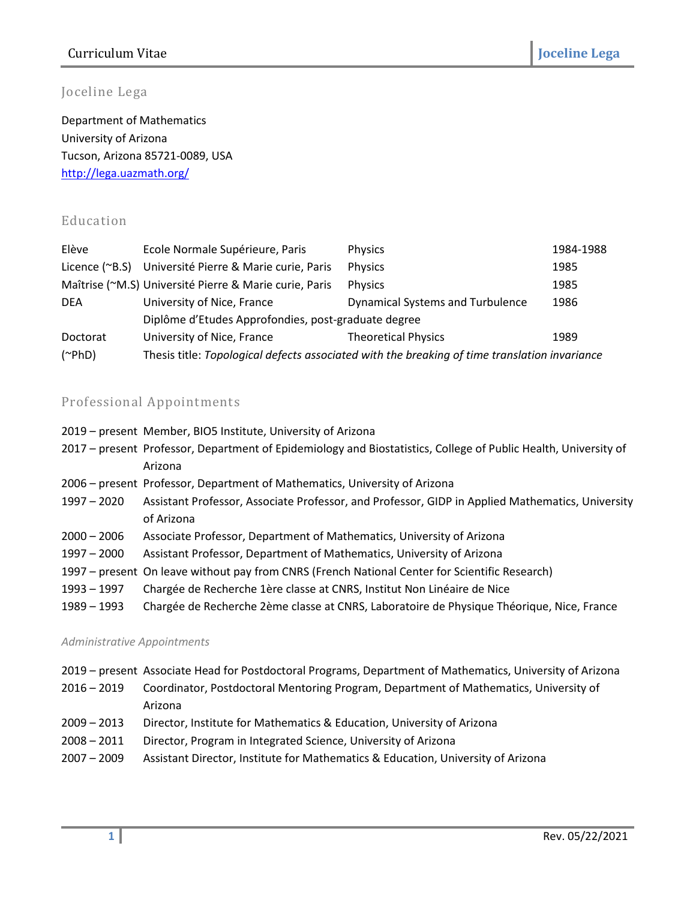# Curriculum Vitae **Joceline Lega**

# Joceline Lega

Department of Mathematics University of Arizona Tucson, Arizona 85721-0089, USA <http://lega.uazmath.org/>

# Education

| Elève        | Ecole Normale Supérieure, Paris                        | <b>Physics</b>                                                                                | 1984-1988 |
|--------------|--------------------------------------------------------|-----------------------------------------------------------------------------------------------|-----------|
|              | Licence (~B.S) Université Pierre & Marie curie, Paris  | Physics                                                                                       | 1985      |
|              | Maîtrise (~M.S) Université Pierre & Marie curie, Paris | Physics                                                                                       | 1985      |
| <b>DEA</b>   | University of Nice, France                             | <b>Dynamical Systems and Turbulence</b>                                                       | 1986      |
|              | Diplôme d'Etudes Approfondies, post-graduate degree    |                                                                                               |           |
| Doctorat     | University of Nice, France                             | <b>Theoretical Physics</b>                                                                    | 1989      |
| $(\sim PhD)$ |                                                        | Thesis title: Topological defects associated with the breaking of time translation invariance |           |

## Professional Appointments

- 2019 present Member, BIO5 Institute, University of Arizona
- 2017 present Professor, Department of Epidemiology and Biostatistics, College of Public Health, University of Arizona
- 2006 present Professor, Department of Mathematics, University of Arizona
- 1997 2020 Assistant Professor, Associate Professor, and Professor, GIDP in Applied Mathematics, University of Arizona
- 2000 2006 Associate Professor, Department of Mathematics, University of Arizona
- 1997 2000 Assistant Professor, Department of Mathematics, University of Arizona
- 1997 present On leave without pay from CNRS (French National Center for Scientific Research)
- 1993 1997 Chargée de Recherche 1ère classe at CNRS, Institut Non Linéaire de Nice
- 1989 1993 Chargée de Recherche 2ème classe at CNRS, Laboratoire de Physique Théorique, Nice, France

#### *Administrative Appointments*

- 2019 present Associate Head for Postdoctoral Programs, Department of Mathematics, University of Arizona
- 2016 2019 Coordinator, Postdoctoral Mentoring Program, Department of Mathematics, University of Arizona
- 2009 2013 Director, Institute for Mathematics & Education, University of Arizona
- 2008 2011 Director, Program in Integrated Science, University of Arizona
- 2007 2009 Assistant Director, Institute for Mathematics & Education, University of Arizona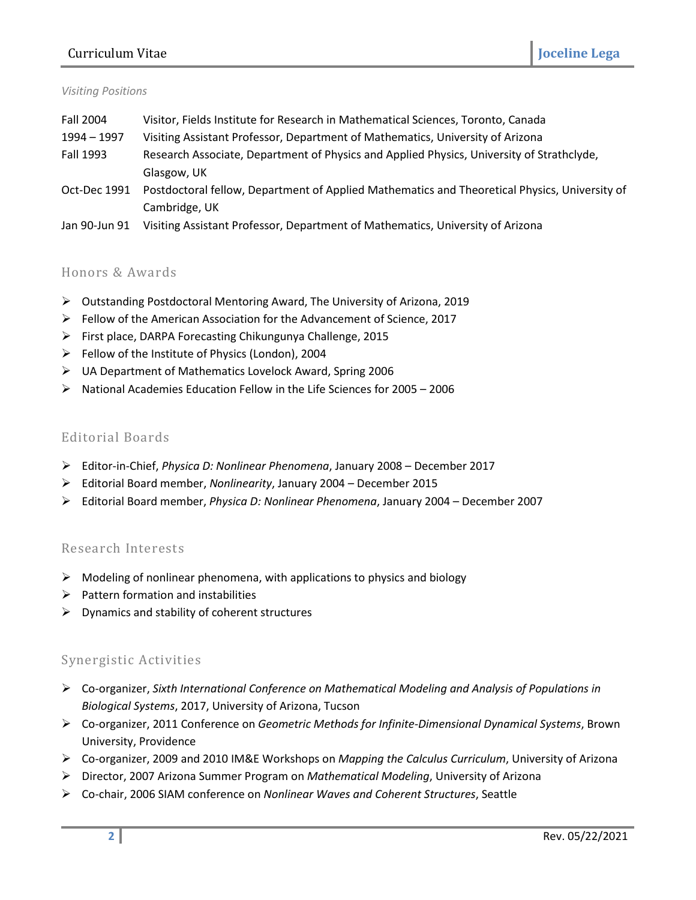## Curriculum Vitae **Joceline Lega**

#### *Visiting Positions*

| Fall 2004     | Visitor, Fields Institute for Research in Mathematical Sciences, Toronto, Canada              |  |
|---------------|-----------------------------------------------------------------------------------------------|--|
| 1994 - 1997   | Visiting Assistant Professor, Department of Mathematics, University of Arizona                |  |
| Fall 1993     | Research Associate, Department of Physics and Applied Physics, University of Strathclyde,     |  |
|               | Glasgow, UK                                                                                   |  |
| Oct-Dec 1991  | Postdoctoral fellow, Department of Applied Mathematics and Theoretical Physics, University of |  |
|               | Cambridge, UK                                                                                 |  |
| Jan 90-Jun 91 | Visiting Assistant Professor, Department of Mathematics, University of Arizona                |  |

### Honors & Awards

- Outstanding Postdoctoral Mentoring Award, The University of Arizona, 2019
- Fellow of the American Association for the Advancement of Science, 2017
- First place, DARPA Forecasting Chikungunya Challenge, 2015
- $\triangleright$  Fellow of the Institute of Physics (London), 2004
- UA Department of Mathematics Lovelock Award, Spring 2006
- $\triangleright$  National Academies Education Fellow in the Life Sciences for 2005 2006

### Editorial Boards

- Editor-in-Chief, *Physica D: Nonlinear Phenomena*, January 2008 December 2017
- Editorial Board member, *Nonlinearity*, January 2004 December 2015
- Editorial Board member, *Physica D: Nonlinear Phenomena*, January 2004 December 2007

#### Research Interests

- $\triangleright$  Modeling of nonlinear phenomena, with applications to physics and biology
- $\triangleright$  Pattern formation and instabilities
- $\triangleright$  Dynamics and stability of coherent structures

## Synergistic Activities

- Co-organizer, *Sixth International Conference on Mathematical Modeling and Analysis of Populations in Biological Systems*, 2017, University of Arizona, Tucson
- Co-organizer, 2011 Conference on *Geometric Methods for Infinite-Dimensional Dynamical Systems*, Brown University, Providence
- Co-organizer, 2009 and 2010 IM&E Workshops on *Mapping the Calculus Curriculum*, University of Arizona
- Director, 2007 Arizona Summer Program on *Mathematical Modeling*, University of Arizona
- Co-chair, 2006 SIAM conference on *Nonlinear Waves and Coherent Structures*, Seattle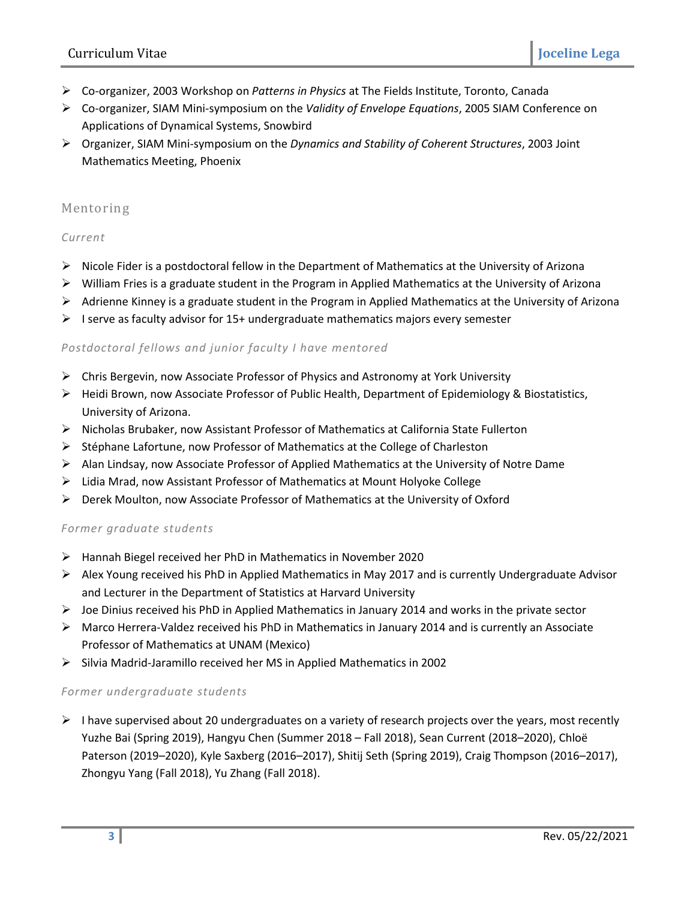- Co-organizer, 2003 Workshop on *Patterns in Physics* at The Fields Institute, Toronto, Canada
- Co-organizer, SIAM Mini-symposium on the *Validity of Envelope Equations*, 2005 SIAM Conference on Applications of Dynamical Systems, Snowbird
- Organizer, SIAM Mini-symposium on the *Dynamics and Stability of Coherent Structures*, 2003 Joint Mathematics Meeting, Phoenix

### Mentoring

#### *Current*

- $\triangleright$  Nicole Fider is a postdoctoral fellow in the Department of Mathematics at the University of Arizona
- $\triangleright$  William Fries is a graduate student in the Program in Applied Mathematics at the University of Arizona
- $\triangleright$  Adrienne Kinney is a graduate student in the Program in Applied Mathematics at the University of Arizona
- $\triangleright$  I serve as faculty advisor for 15+ undergraduate mathematics majors every semester

#### *Postdoctoral fellows and junior faculty I have mentored*

- $\triangleright$  Chris Bergevin, now Associate Professor of Physics and Astronomy at York University
- Heidi Brown, now Associate Professor of Public Health, Department of Epidemiology & Biostatistics, University of Arizona.
- $\triangleright$  Nicholas Brubaker, now Assistant Professor of Mathematics at California State Fullerton
- $\triangleright$  Stéphane Lafortune, now Professor of Mathematics at the College of Charleston
- $\triangleright$  Alan Lindsay, now Associate Professor of Applied Mathematics at the University of Notre Dame
- Lidia Mrad, now Assistant Professor of Mathematics at Mount Holyoke College
- Derek Moulton, now Associate Professor of Mathematics at the University of Oxford

#### *Former graduate students*

- $\triangleright$  Hannah Biegel received her PhD in Mathematics in November 2020
- $\triangleright$  Alex Young received his PhD in Applied Mathematics in May 2017 and is currently Undergraduate Advisor and Lecturer in the Department of Statistics at Harvard University
- $\triangleright$  Joe Dinius received his PhD in Applied Mathematics in January 2014 and works in the private sector
- $\triangleright$  Marco Herrera-Valdez received his PhD in Mathematics in January 2014 and is currently an Associate Professor of Mathematics at UNAM (Mexico)
- $\triangleright$  Silvia Madrid-Jaramillo received her MS in Applied Mathematics in 2002

#### *Former undergraduate students*

 $\triangleright$  I have supervised about 20 undergraduates on a variety of research projects over the years, most recently Yuzhe Bai (Spring 2019), Hangyu Chen (Summer 2018 – Fall 2018), Sean Current (2018–2020), Chloë Paterson (2019–2020), Kyle Saxberg (2016–2017), Shitij Seth (Spring 2019), Craig Thompson (2016–2017), Zhongyu Yang (Fall 2018), Yu Zhang (Fall 2018).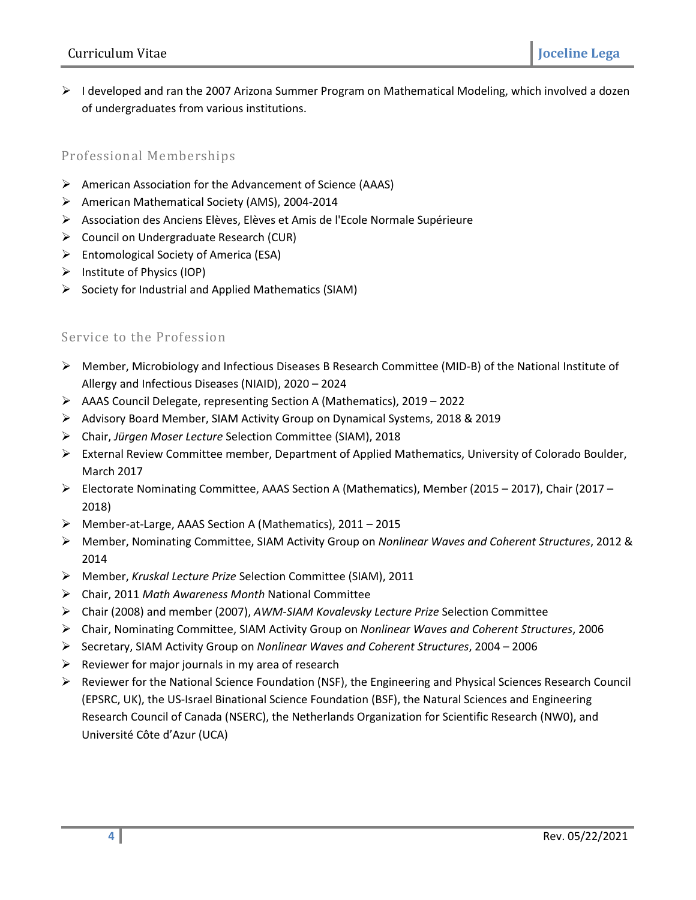$\triangleright$  I developed and ran the 2007 Arizona Summer Program on Mathematical Modeling, which involved a dozen of undergraduates from various institutions.

## Professional Memberships

- $\triangleright$  American Association for the Advancement of Science (AAAS)
- American Mathematical Society (AMS), 2004-2014
- Association des Anciens Elèves, Elèves et Amis de l'Ecole Normale Supérieure
- Council on Undergraduate Research (CUR)
- $\triangleright$  Entomological Society of America (ESA)
- $\triangleright$  Institute of Physics (IOP)
- $\triangleright$  Society for Industrial and Applied Mathematics (SIAM)

## Service to the Profession

- Member, Microbiology and Infectious Diseases B Research Committee (MID-B) of the National Institute of Allergy and Infectious Diseases (NIAID), 2020 – 2024
- AAAS Council Delegate, representing Section A (Mathematics), 2019 2022
- Advisory Board Member, SIAM Activity Group on Dynamical Systems, 2018 & 2019
- Chair, *Jürgen Moser Lecture* Selection Committee (SIAM), 2018
- External Review Committee member, Department of Applied Mathematics, University of Colorado Boulder, March 2017
- Electorate Nominating Committee, AAAS Section A (Mathematics), Member (2015 2017), Chair (2017 2018)
- Member-at-Large, AAAS Section A (Mathematics), 2011 2015
- Member, Nominating Committee, SIAM Activity Group on *Nonlinear Waves and Coherent Structures*, 2012 & 2014
- Member, *Kruskal Lecture Prize* Selection Committee (SIAM), 2011
- Chair, 2011 *Math Awareness Month* National Committee
- Chair (2008) and member (2007), *AWM-SIAM Kovalevsky Lecture Prize* Selection Committee
- Chair, Nominating Committee, SIAM Activity Group on *Nonlinear Waves and Coherent Structures*, 2006
- Secretary, SIAM Activity Group on *Nonlinear Waves and Coherent Structures*, 2004 2006
- $\triangleright$  Reviewer for major journals in my area of research
- $\triangleright$  Reviewer for the National Science Foundation (NSF), the Engineering and Physical Sciences Research Council (EPSRC, UK), the US-Israel Binational Science Foundation (BSF), the Natural Sciences and Engineering Research Council of Canada (NSERC), the Netherlands Organization for Scientific Research (NW0), and Université Côte d'Azur (UCA)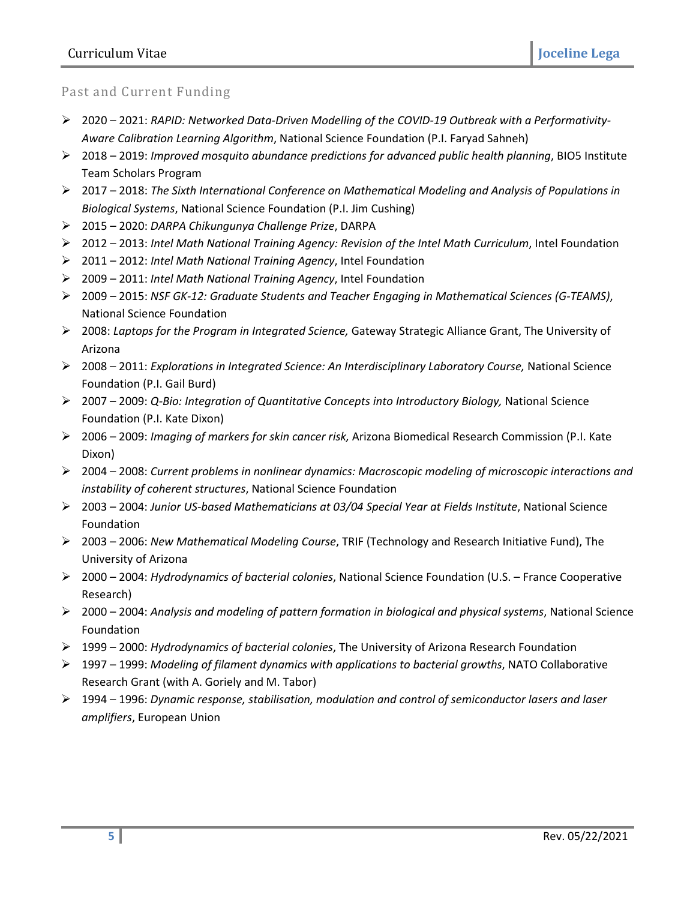## Past and Current Funding

- 2020 2021: *RAPID: Networked Data-Driven Modelling of the COVID-19 Outbreak with a Performativity-Aware Calibration Learning Algorithm*, National Science Foundation (P.I. Faryad Sahneh)
- 2018 2019: *Improved mosquito abundance predictions for advanced public health planning*, BIO5 Institute Team Scholars Program
- 2017 2018: *The Sixth International Conference on Mathematical Modeling and Analysis of Populations in Biological Systems*, National Science Foundation (P.I. Jim Cushing)
- 2015 2020: *DARPA Chikungunya Challenge Prize*, DARPA
- 2012 2013: *Intel Math National Training Agency: Revision of the Intel Math Curriculum*, Intel Foundation
- 2011 2012: *Intel Math National Training Agency*, Intel Foundation
- 2009 2011: *Intel Math National Training Agency*, Intel Foundation
- 2009 2015: *NSF GK-12: Graduate Students and Teacher Engaging in Mathematical Sciences (G-TEAMS)*, National Science Foundation
- 2008: *Laptops for the Program in Integrated Science,* Gateway Strategic Alliance Grant, The University of Arizona
- 2008 2011: *Explorations in Integrated Science: An Interdisciplinary Laboratory Course,* National Science Foundation (P.I. Gail Burd)
- 2007 2009: *Q-Bio: Integration of Quantitative Concepts into Introductory Biology,* National Science Foundation (P.I. Kate Dixon)
- 2006 2009: *Imaging of markers for skin cancer risk,* Arizona Biomedical Research Commission (P.I. Kate Dixon)
- 2004 2008: *Current problems in nonlinear dynamics: Macroscopic modeling of microscopic interactions and instability of coherent structures*, National Science Foundation
- 2003 2004: *Junior US-based Mathematicians at 03/04 Special Year at Fields Institute*, National Science Foundation
- 2003 2006: *New Mathematical Modeling Course*, TRIF (Technology and Research Initiative Fund), The University of Arizona
- 2000 2004: *Hydrodynamics of bacterial colonies*, National Science Foundation (U.S. France Cooperative Research)
- 2000 2004: *Analysis and modeling of pattern formation in biological and physical systems*, National Science Foundation
- 1999 2000: *Hydrodynamics of bacterial colonies*, The University of Arizona Research Foundation
- 1997 1999: *Modeling of filament dynamics with applications to bacterial growths*, NATO Collaborative Research Grant (with A. Goriely and M. Tabor)
- 1994 1996: *Dynamic response, stabilisation, modulation and control of semiconductor lasers and laser amplifiers*, European Union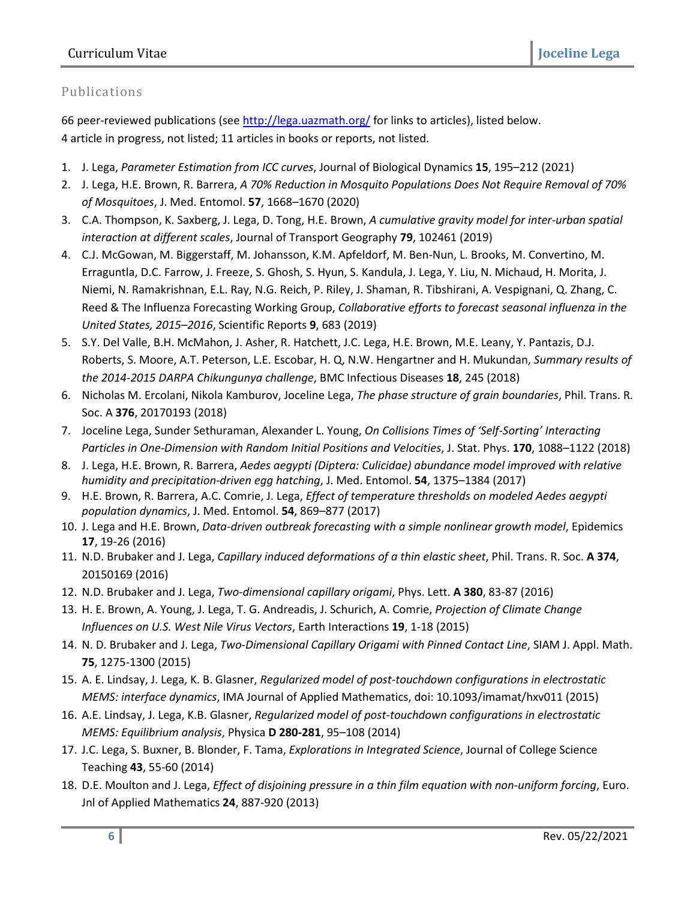# Publications

66 peer-reviewed publications (se[e http://lega.uazmath.org/](http://lega.uazmath.org/) for links to articles), listed below. 4 article in progress, not listed; 11 articles in books or reports, not listed.

- 1. J. Lega, *Parameter Estimation from ICC curves*, Journal of Biological Dynamics **15**, 195–212 (2021)
- 2. J. Lega, H.E. Brown, R. Barrera, *A 70% Reduction in Mosquito Populations Does Not Require Removal of 70% of Mosquitoes*, J. Med. Entomol. **57**, 1668–1670 (2020)
- 3. C.A. Thompson, K. Saxberg, J. Lega, D. Tong, H.E. Brown, *A cumulative gravity model for inter-urban spatial interaction at different scales*, Journal of Transport Geography **79**, 102461 (2019)
- 4. C.J. McGowan, M. Biggerstaff, M. Johansson, K.M. Apfeldorf, M. Ben-Nun, L. Brooks, M. Convertino, M. Erraguntla, D.C. Farrow, J. Freeze, S. Ghosh, S. Hyun, S. Kandula, J. Lega, Y. Liu, N. Michaud, H. Morita, J. Niemi, N. Ramakrishnan, E.L. Ray, N.G. Reich, P. Riley, J. Shaman, R. Tibshirani, A. Vespignani, Q. Zhang, C. Reed & The Influenza Forecasting Working Group, *Collaborative efforts to forecast seasonal influenza in the United States, 2015–2016*, Scientific Reports **9**, 683 (2019)
- 5. S.Y. Del Valle, B.H. McMahon, J. Asher, R. Hatchett, J.C. Lega, H.E. Brown, M.E. Leany, Y. Pantazis, D.J. Roberts, S. Moore, A.T. Peterson, L.E. Escobar, H. Q, N.W. Hengartner and H. Mukundan, *Summary results of the 2014-2015 DARPA Chikungunya challenge*, BMC Infectious Diseases **18**, 245 (2018)
- 6. Nicholas M. Ercolani, Nikola Kamburov, Joceline Lega, *The phase structure of grain boundaries*, Phil. Trans. R. Soc. A **376**, 20170193 (2018)
- 7. Joceline Lega, Sunder Sethuraman, Alexander L. Young, *On Collisions Times of 'Self-Sorting' Interacting Particles in One-Dimension with Random Initial Positions and Velocities*, J. Stat. Phys. **170**, 1088–1122 (2018)
- 8. J. Lega, H.E. Brown, R. Barrera, *Aedes aegypti (Diptera: Culicidae) abundance model improved with relative humidity and precipitation-driven egg hatching*, J. Med. Entomol. **54**, 1375–1384 (2017)
- 9. H.E. Brown, R. Barrera, A.C. Comrie, J. Lega, *Effect of temperature thresholds on modeled Aedes aegypti population dynamics*, J. Med. Entomol. **54**, 869–877 (2017)
- 10. J. Lega and H.E. Brown, *Data-driven outbreak forecasting with a simple nonlinear growth model*, Epidemics **17**, 19-26 (2016)
- 11. N.D. Brubaker and J. Lega, *Capillary induced deformations of a thin elastic sheet*, Phil. Trans. R. Soc. **A 374**, 20150169 (2016)
- 12. N.D. Brubaker and J. Lega, *Two-dimensional capillary origami*, Phys. Lett. **A 380**, 83-87 (2016)
- 13. H. E. Brown, A. Young, J. Lega, T. G. Andreadis, J. Schurich, A. Comrie, *Projection of Climate Change Influences on U.S. West Nile Virus Vectors*, Earth Interactions **19**, 1-18 (2015)
- 14. N. D. Brubaker and J. Lega, *Two-Dimensional Capillary Origami with Pinned Contact Line*, SIAM J. Appl. Math. **75**, 1275-1300 (2015)
- 15. A. E. Lindsay, J. Lega, K. B. Glasner, *Regularized model of post-touchdown configurations in electrostatic MEMS: interface dynamics*, IMA Journal of Applied Mathematics, doi: 10.1093/imamat/hxv011 (2015)
- 16. A.E. Lindsay, J. Lega, K.B. Glasner, *Regularized model of post-touchdown configurations in electrostatic MEMS: Equilibrium analysis*, Physica **D 280-281**, 95–108 (2014)
- 17. J.C. Lega, S. Buxner, B. Blonder, F. Tama, *Explorations in Integrated Science*, Journal of College Science Teaching **43**, 55-60 (2014)
- 18. D.E. Moulton and J. Lega, *Effect of disjoining pressure in a thin film equation with non-uniform forcing*, Euro. Jnl of Applied Mathematics **24**, 887-920 (2013)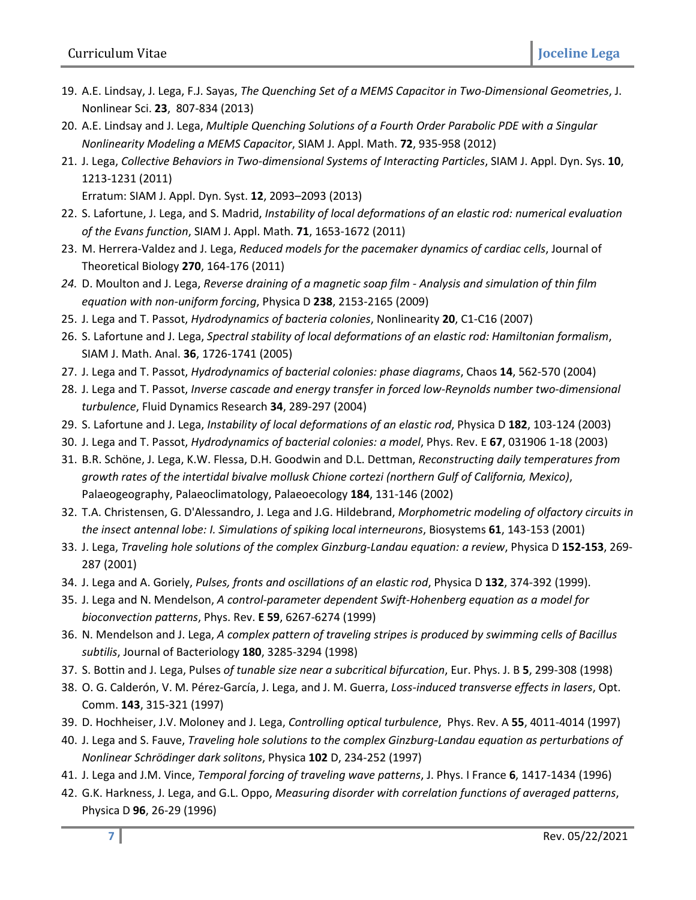- 19. A.E. Lindsay, J. Lega, F.J. Sayas, *The Quenching Set of a MEMS Capacitor in Two-Dimensional Geometries*, J. Nonlinear Sci. **23**, 807-834 (2013)
- 20. A.E. Lindsay and J. Lega, *Multiple Quenching Solutions of a Fourth Order Parabolic PDE with a Singular Nonlinearity Modeling a MEMS Capacitor*, SIAM J. Appl. Math. **72**, 935-958 (2012)
- 21. J. Lega, *Collective Behaviors in Two-dimensional Systems of Interacting Particles*, SIAM J. Appl. Dyn. Sys. **10**, 1213-1231 (2011)

Erratum: SIAM J. Appl. Dyn. Syst. **12**, 2093–2093 (2013)

- 22. S. Lafortune, J. Lega, and S. Madrid, *Instability of local deformations of an elastic rod: numerical evaluation of the Evans function*, SIAM J. Appl. Math. **71**, 1653-1672 (2011)
- 23. M. Herrera-Valdez and J. Lega, *Reduced models for the pacemaker dynamics of cardiac cells*, Journal of Theoretical Biology **270**, 164-176 (2011)
- *24.* D. Moulton and J. Lega, *Reverse draining of a magnetic soap film - Analysis and simulation of thin film equation with non-uniform forcing*, Physica D **238**, 2153-2165 (2009)
- 25. J. Lega and T. Passot, *Hydrodynamics of bacteria colonies*, Nonlinearity **20**, C1-C16 (2007)
- 26. S. Lafortune and J. Lega, *Spectral stability of local deformations of an elastic rod: Hamiltonian formalism*, SIAM J. Math. Anal. **36**, 1726-1741 (2005)
- 27. J. Lega and T. Passot, *Hydrodynamics of bacterial colonies: phase diagrams*, Chaos **14**, 562-570 (2004)
- 28. J. Lega and T. Passot, *Inverse cascade and energy transfer in forced low-Reynolds number two-dimensional turbulence*, Fluid Dynamics Research **34**, 289-297 (2004)
- 29. S. Lafortune and J. Lega, *Instability of local deformations of an elastic rod*, Physica D **182**, 103-124 (2003)
- 30. J. Lega and T. Passot, *Hydrodynamics of bacterial colonies: a model*, Phys. Rev. E **67**, 031906 1-18 (2003)
- 31. B.R. Schöne, J. Lega, K.W. Flessa, D.H. Goodwin and D.L. Dettman, *Reconstructing daily temperatures from growth rates of the intertidal bivalve mollusk Chione cortezi (northern Gulf of California, Mexico)*, Palaeogeography, Palaeoclimatology, Palaeoecology **184**, 131-146 (2002)
- 32. T.A. Christensen, G. D'Alessandro, J. Lega and J.G. Hildebrand, *Morphometric modeling of olfactory circuits in the insect antennal lobe: I. Simulations of spiking local interneurons*, Biosystems **61**, 143-153 (2001)
- 33. J. Lega, *Traveling hole solutions of the complex Ginzburg-Landau equation: a review*, Physica D **152-153**, 269- 287 (2001)
- 34. J. Lega and A. Goriely, *Pulses, fronts and oscillations of an elastic rod*, Physica D **132**, 374-392 (1999).
- 35. J. Lega and N. Mendelson, *A control-parameter dependent Swift-Hohenberg equation as a model for bioconvection patterns*, Phys. Rev. **E 59**, 6267-6274 (1999)
- 36. N. Mendelson and J. Lega, *A complex pattern of traveling stripes is produced by swimming cells of Bacillus subtilis*, Journal of Bacteriology **180**, 3285-3294 (1998)
- 37. S. Bottin and J. Lega, Pulses *of tunable size near a subcritical bifurcation*, Eur. Phys. J. B **5**, 299-308 (1998)
- 38. O. G. Calderón, V. M. Pérez-García, J. Lega, and J. M. Guerra, *Loss-induced transverse effects in lasers*, Opt. Comm. **143**, 315-321 (1997)
- 39. D. Hochheiser, J.V. Moloney and J. Lega, *Controlling optical turbulence*, Phys. Rev. A **55**, 4011-4014 (1997)
- 40. J. Lega and S. Fauve, *Traveling hole solutions to the complex Ginzburg-Landau equation as perturbations of Nonlinear Schrödinger dark solitons*, Physica **102** D, 234-252 (1997)
- 41. J. Lega and J.M. Vince, *Temporal forcing of traveling wave patterns*, J. Phys. I France **6**, 1417-1434 (1996)
- 42. G.K. Harkness, J. Lega, and G.L. Oppo, *Measuring disorder with correlation functions of averaged patterns*, Physica D **96**, 26-29 (1996)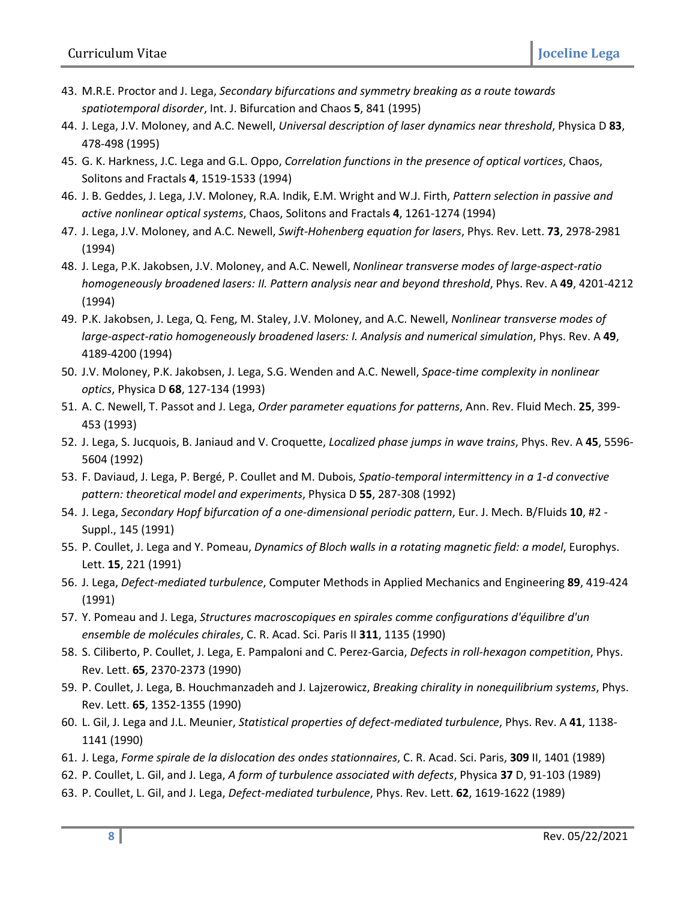- 43. M.R.E. Proctor and J. Lega, *Secondary bifurcations and symmetry breaking as a route towards spatiotemporal disorder*, Int. J. Bifurcation and Chaos **5**, 841 (1995)
- 44. J. Lega, J.V. Moloney, and A.C. Newell, *Universal description of laser dynamics near threshold*, Physica D **83**, 478-498 (1995)
- 45. G. K. Harkness, J.C. Lega and G.L. Oppo, *Correlation functions in the presence of optical vortices*, Chaos, Solitons and Fractals **4**, 1519-1533 (1994)
- 46. J. B. Geddes, J. Lega, J.V. Moloney, R.A. Indik, E.M. Wright and W.J. Firth, *Pattern selection in passive and active nonlinear optical systems*, Chaos, Solitons and Fractals **4**, 1261-1274 (1994)
- 47. J. Lega, J.V. Moloney, and A.C. Newell, *Swift-Hohenberg equation for lasers*, Phys. Rev. Lett. **73**, 2978-2981 (1994)
- 48. J. Lega, P.K. Jakobsen, J.V. Moloney, and A.C. Newell, *Nonlinear transverse modes of large-aspect-ratio homogeneously broadened lasers: II. Pattern analysis near and beyond threshold*, Phys. Rev. A **49**, 4201-4212 (1994)
- 49. P.K. Jakobsen, J. Lega, Q. Feng, M. Staley, J.V. Moloney, and A.C. Newell, *Nonlinear transverse modes of large-aspect-ratio homogeneously broadened lasers: I. Analysis and numerical simulation*, Phys. Rev. A **49**, 4189-4200 (1994)
- 50. J.V. Moloney, P.K. Jakobsen, J. Lega, S.G. Wenden and A.C. Newell, *Space-time complexity in nonlinear optics*, Physica D **68**, 127-134 (1993)
- 51. A. C. Newell, T. Passot and J. Lega, *Order parameter equations for patterns*, Ann. Rev. Fluid Mech. **25**, 399- 453 (1993)
- 52. J. Lega, S. Jucquois, B. Janiaud and V. Croquette, *Localized phase jumps in wave trains*, Phys. Rev. A **45**, 5596- 5604 (1992)
- 53. F. Daviaud, J. Lega, P. Bergé, P. Coullet and M. Dubois, *Spatio-temporal intermittency in a 1-d convective pattern: theoretical model and experiments*, Physica D **55**, 287-308 (1992)
- 54. J. Lega, *Secondary Hopf bifurcation of a one-dimensional periodic pattern*, Eur. J. Mech. B/Fluids **10**, #2 Suppl., 145 (1991)
- 55. P. Coullet, J. Lega and Y. Pomeau, *Dynamics of Bloch walls in a rotating magnetic field: a model*, Europhys. Lett. **15**, 221 (1991)
- 56. J. Lega, *Defect-mediated turbulence*, Computer Methods in Applied Mechanics and Engineering **89**, 419-424 (1991)
- 57. Y. Pomeau and J. Lega, *Structures macroscopiques en spirales comme configurations d'équilibre d'un ensemble de molécules chirales*, C. R. Acad. Sci. Paris II **311**, 1135 (1990)
- 58. S. Ciliberto, P. Coullet, J. Lega, E. Pampaloni and C. Perez-Garcia, *Defects in roll-hexagon competition*, Phys. Rev. Lett. **65**, 2370-2373 (1990)
- 59. P. Coullet, J. Lega, B. Houchmanzadeh and J. Lajzerowicz, *Breaking chirality in nonequilibrium systems*, Phys. Rev. Lett. **65**, 1352-1355 (1990)
- 60. L. Gil, J. Lega and J.L. Meunier, *Statistical properties of defect-mediated turbulence*, Phys. Rev. A **41**, 1138- 1141 (1990)
- 61. J. Lega, *Forme spirale de la dislocation des ondes stationnaires*, C. R. Acad. Sci. Paris, **309** II, 1401 (1989)
- 62. P. Coullet, L. Gil, and J. Lega, *A form of turbulence associated with defects*, Physica **37** D, 91-103 (1989)
- 63. P. Coullet, L. Gil, and J. Lega, *Defect-mediated turbulence*, Phys. Rev. Lett. **62**, 1619-1622 (1989)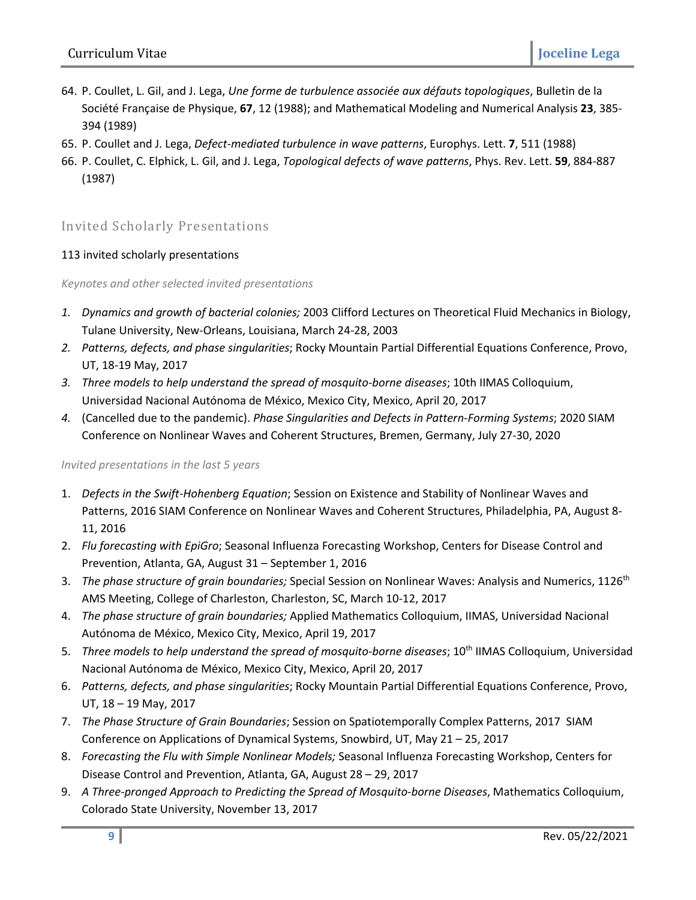- 64. P. Coullet, L. Gil, and J. Lega, *Une forme de turbulence associée aux défauts topologiques*, Bulletin de la Société Française de Physique, **67**, 12 (1988); and Mathematical Modeling and Numerical Analysis **23**, 385- 394 (1989)
- 65. P. Coullet and J. Lega, *Defect-mediated turbulence in wave patterns*, Europhys. Lett. **7**, 511 (1988)
- 66. P. Coullet, C. Elphick, L. Gil, and J. Lega, *Topological defects of wave patterns*, Phys. Rev. Lett. **59**, 884-887 (1987)

### Invited Scholarly Presentations

#### 113 invited scholarly presentations

#### *Keynotes and other selected invited presentations*

- *1. Dynamics and growth of bacterial colonies;* 2003 Clifford Lectures on Theoretical Fluid Mechanics in Biology, Tulane University, New-Orleans, Louisiana, March 24-28, 2003
- *2. Patterns, defects, and phase singularities*; Rocky Mountain Partial Differential Equations Conference, Provo, UT, 18-19 May, 2017
- *3. Three models to help understand the spread of mosquito-borne diseases*; 10th IIMAS Colloquium, Universidad Nacional Autónoma de México, Mexico City, Mexico, April 20, 2017
- *4.* (Cancelled due to the pandemic). *Phase Singularities and Defects in Pattern-Forming Systems*; 2020 SIAM Conference on Nonlinear Waves and Coherent Structures, Bremen, Germany, July 27-30, 2020

#### *Invited presentations in the last 5 years*

- 1. *Defects in the Swift-Hohenberg Equation*; Session on Existence and Stability of Nonlinear Waves and Patterns, 2016 SIAM Conference on Nonlinear Waves and Coherent Structures, Philadelphia, PA, August 8- 11, 2016
- 2. *Flu forecasting with EpiGro*; Seasonal Influenza Forecasting Workshop, Centers for Disease Control and Prevention, Atlanta, GA, August 31 – September 1, 2016
- 3. *The phase structure of grain boundaries;* Special Session on Nonlinear Waves: Analysis and Numerics, 1126th AMS Meeting, College of Charleston, Charleston, SC, March 10-12, 2017
- 4. *The phase structure of grain boundaries;* Applied Mathematics Colloquium, IIMAS, Universidad Nacional Autónoma de México, Mexico City, Mexico, April 19, 2017
- 5. *Three models to help understand the spread of mosquito-borne diseases*; 10th IIMAS Colloquium, Universidad Nacional Autónoma de México, Mexico City, Mexico, April 20, 2017
- 6. *Patterns, defects, and phase singularities*; Rocky Mountain Partial Differential Equations Conference, Provo, UT, 18 – 19 May, 2017
- 7. *The Phase Structure of Grain Boundaries*; Session on Spatiotemporally Complex Patterns, 2017 SIAM Conference on Applications of Dynamical Systems, Snowbird, UT, May 21 – 25, 2017
- 8. *Forecasting the Flu with Simple Nonlinear Models;* Seasonal Influenza Forecasting Workshop, Centers for Disease Control and Prevention, Atlanta, GA, August 28 – 29, 2017
- 9. *A Three-pronged Approach to Predicting the Spread of Mosquito-borne Diseases*, Mathematics Colloquium, Colorado State University, November 13, 2017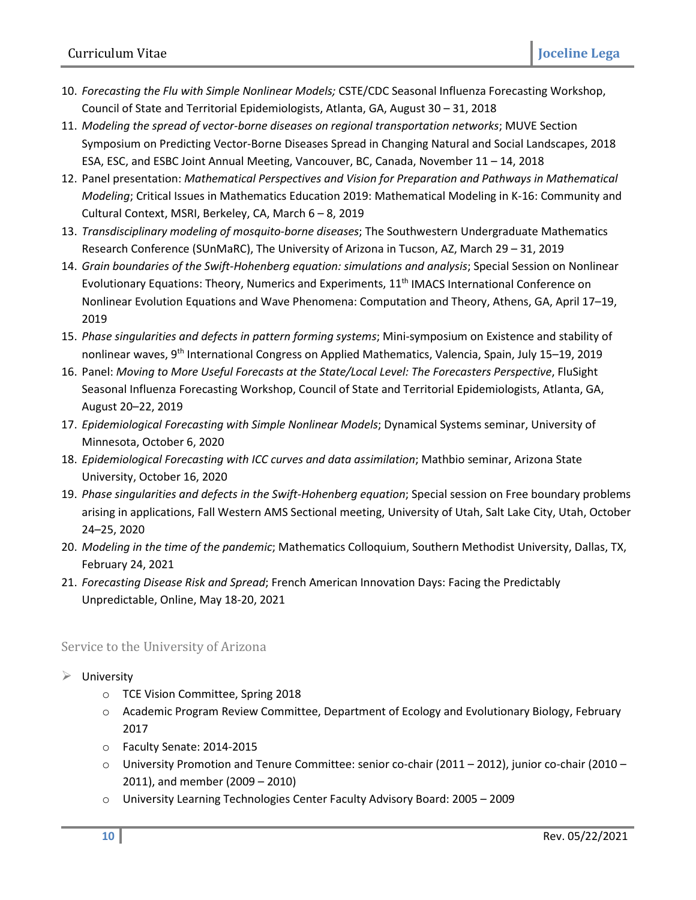- 10. *Forecasting the Flu with Simple Nonlinear Models;* CSTE/CDC Seasonal Influenza Forecasting Workshop, Council of State and Territorial Epidemiologists, Atlanta, GA, August 30 – 31, 2018
- 11. *Modeling the spread of vector-borne diseases on regional transportation networks*; MUVE Section Symposium on Predicting Vector-Borne Diseases Spread in Changing Natural and Social Landscapes, 2018 ESA, ESC, and ESBC Joint Annual Meeting, Vancouver, BC, Canada, November 11 – 14, 2018
- 12. Panel presentation: *Mathematical Perspectives and Vision for Preparation and Pathways in Mathematical Modeling*; Critical Issues in Mathematics Education 2019: Mathematical Modeling in K-16: Community and Cultural Context, MSRI, Berkeley, CA, March 6 – 8, 2019
- 13. *Transdisciplinary modeling of mosquito-borne diseases*; The Southwestern Undergraduate Mathematics Research Conference (SUnMaRC), The University of Arizona in Tucson, AZ, March 29 – 31, 2019
- 14. *Grain boundaries of the Swift-Hohenberg equation: simulations and analysis*; Special Session on Nonlinear Evolutionary Equations: Theory, Numerics and Experiments, 11<sup>th</sup> IMACS International Conference on Nonlinear Evolution Equations and Wave Phenomena: Computation and Theory, Athens, GA, April 17–19, 2019
- 15. *Phase singularities and defects in pattern forming systems*; Mini-symposium on Existence and stability of nonlinear waves, 9<sup>th</sup> International Congress on Applied Mathematics, Valencia, Spain, July 15-19, 2019
- 16. Panel: *Moving to More Useful Forecasts at the State/Local Level: The Forecasters Perspective*, FluSight Seasonal Influenza Forecasting Workshop, Council of State and Territorial Epidemiologists, Atlanta, GA, August 20–22, 2019
- 17. *Epidemiological Forecasting with Simple Nonlinear Models*; Dynamical Systems seminar, University of Minnesota, October 6, 2020
- 18. *Epidemiological Forecasting with ICC curves and data assimilation*; Mathbio seminar, Arizona State University, October 16, 2020
- 19. *Phase singularities and defects in the Swift-Hohenberg equation*; Special session on Free boundary problems arising in applications, Fall Western AMS Sectional meeting, University of Utah, Salt Lake City, Utah, October 24–25, 2020
- 20. *Modeling in the time of the pandemic*; Mathematics Colloquium, Southern Methodist University, Dallas, TX, February 24, 2021
- 21. *Forecasting Disease Risk and Spread*; French American Innovation Days: Facing the Predictably Unpredictable, Online, May 18-20, 2021

## Service to the University of Arizona

- $\triangleright$  University
	- o TCE Vision Committee, Spring 2018
	- o Academic Program Review Committee, Department of Ecology and Evolutionary Biology, February 2017
	- o Faculty Senate: 2014-2015
	- o University Promotion and Tenure Committee: senior co-chair (2011 2012), junior co-chair (2010 2011), and member (2009 – 2010)
	- o University Learning Technologies Center Faculty Advisory Board: 2005 2009